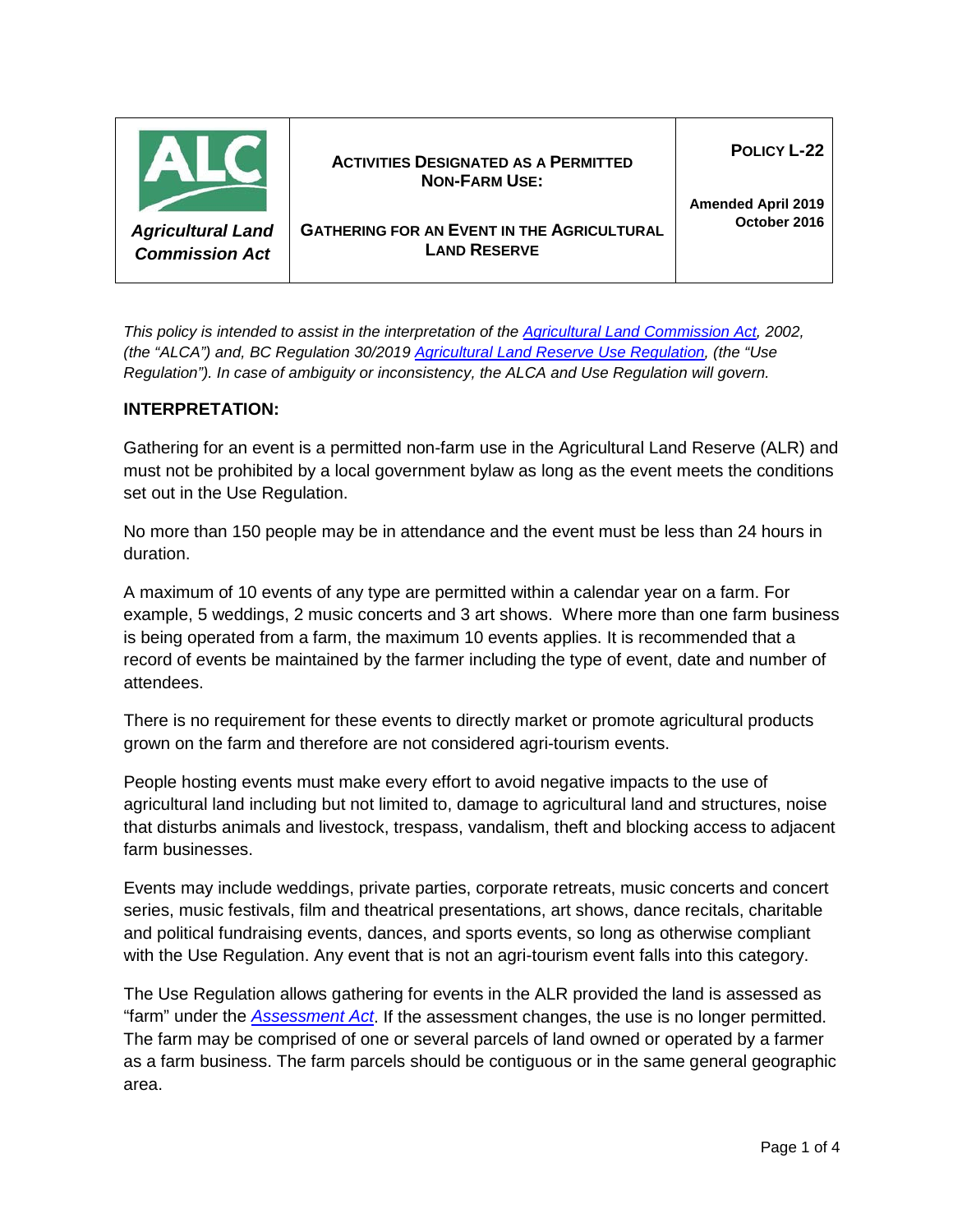

*This policy is intended to assist in the interpretation of the [Agricultural Land Commission Act,](http://www.bclaws.ca/Recon/document/ID/freeside/00_02036_01) 2002, (the "ALCA") and, BC Regulation 30/2019 [Agricultural Land Reserve Use Regulation,](http://www.bclaws.ca/civix/document/id/complete/statreg/30_2019) (the "Use Regulation"). In case of ambiguity or inconsistency, the ALCA and Use Regulation will govern.*

## **INTERPRETATION:**

Gathering for an event is a permitted non-farm use in the Agricultural Land Reserve (ALR) and must not be prohibited by a local government bylaw as long as the event meets the conditions set out in the Use Regulation.

No more than 150 people may be in attendance and the event must be less than 24 hours in duration.

A maximum of 10 events of any type are permitted within a calendar year on a farm. For example, 5 weddings, 2 music concerts and 3 art shows. Where more than one farm business is being operated from a farm, the maximum 10 events applies. It is recommended that a record of events be maintained by the farmer including the type of event, date and number of attendees.

There is no requirement for these events to directly market or promote agricultural products grown on the farm and therefore are not considered agri-tourism events.

People hosting events must make every effort to avoid negative impacts to the use of agricultural land including but not limited to, damage to agricultural land and structures, noise that disturbs animals and livestock, trespass, vandalism, theft and blocking access to adjacent farm businesses.

Events may include weddings, private parties, corporate retreats, music concerts and concert series, music festivals, film and theatrical presentations, art shows, dance recitals, charitable and political fundraising events, dances, and sports events, so long as otherwise compliant with the Use Regulation. Any event that is not an agri-tourism event falls into this category.

The Use Regulation allows gathering for events in the ALR provided the land is assessed as "farm" under the *[Assessment Act](http://www.bclaws.ca/civix/document/id/complete/statreg/96020_01)*. If the assessment changes, the use is no longer permitted. The farm may be comprised of one or several parcels of land owned or operated by a farmer as a farm business. The farm parcels should be contiguous or in the same general geographic area.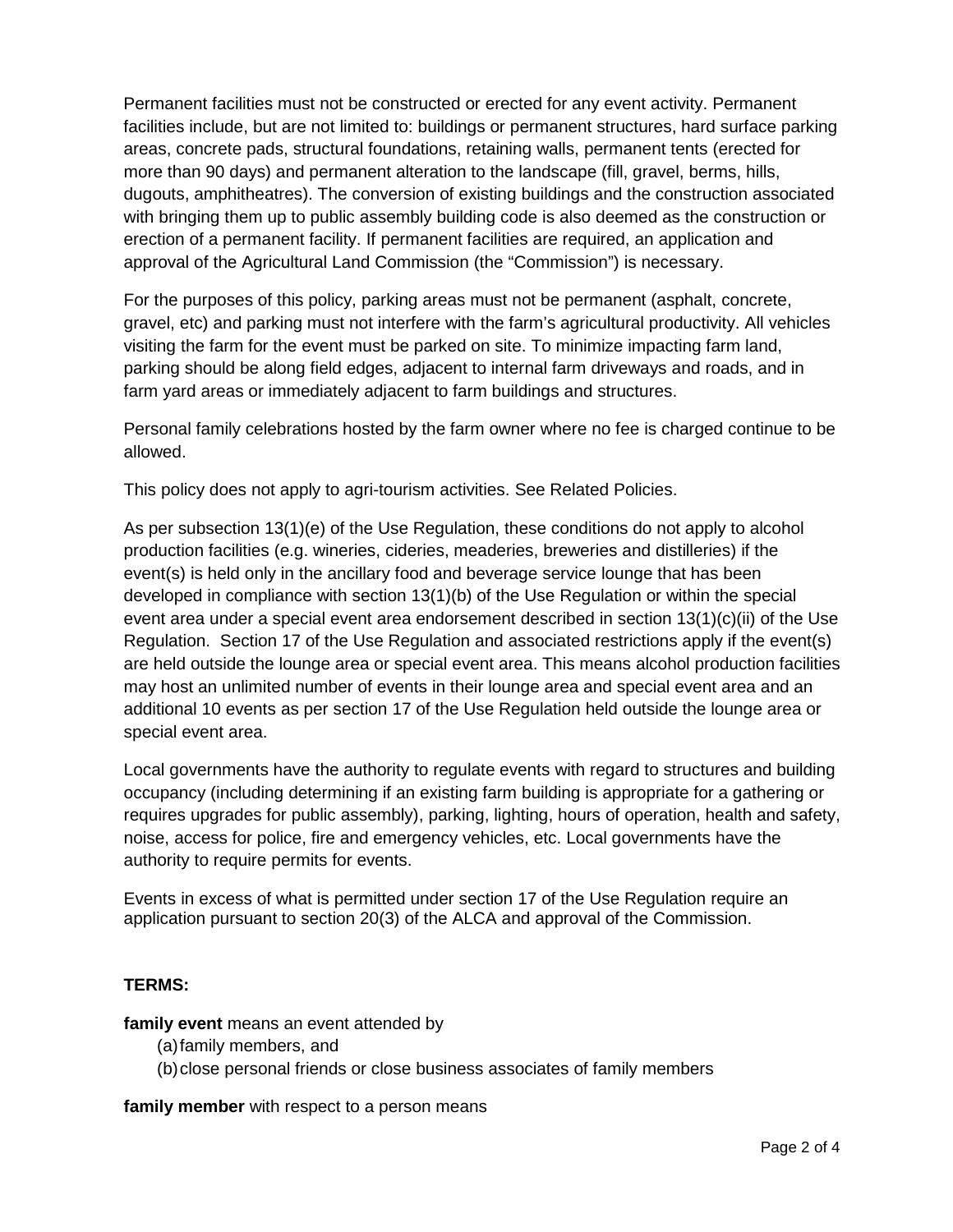Permanent facilities must not be constructed or erected for any event activity. Permanent facilities include, but are not limited to: buildings or permanent structures, hard surface parking areas, concrete pads, structural foundations, retaining walls, permanent tents (erected for more than 90 days) and permanent alteration to the landscape (fill, gravel, berms, hills, dugouts, amphitheatres). The conversion of existing buildings and the construction associated with bringing them up to public assembly building code is also deemed as the construction or erection of a permanent facility. If permanent facilities are required, an application and approval of the Agricultural Land Commission (the "Commission") is necessary.

For the purposes of this policy, parking areas must not be permanent (asphalt, concrete, gravel, etc) and parking must not interfere with the farm's agricultural productivity. All vehicles visiting the farm for the event must be parked on site. To minimize impacting farm land, parking should be along field edges, adjacent to internal farm driveways and roads, and in farm yard areas or immediately adjacent to farm buildings and structures.

Personal family celebrations hosted by the farm owner where no fee is charged continue to be allowed.

This policy does not apply to agri-tourism activities. See Related Policies.

As per subsection 13(1)(e) of the Use Regulation, these conditions do not apply to alcohol production facilities (e.g. wineries, cideries, meaderies, breweries and distilleries) if the event(s) is held only in the ancillary food and beverage service lounge that has been developed in compliance with section 13(1)(b) of the Use Regulation or within the special event area under a special event area endorsement described in section 13(1)(c)(ii) of the Use Regulation. Section 17 of the Use Regulation and associated restrictions apply if the event(s) are held outside the lounge area or special event area. This means alcohol production facilities may host an unlimited number of events in their lounge area and special event area and an additional 10 events as per section 17 of the Use Regulation held outside the lounge area or special event area.

Local governments have the authority to regulate events with regard to structures and building occupancy (including determining if an existing farm building is appropriate for a gathering or requires upgrades for public assembly), parking, lighting, hours of operation, health and safety, noise, access for police, fire and emergency vehicles, etc. Local governments have the authority to require permits for events.

Events in excess of what is permitted under section 17 of the Use Regulation require an application pursuant to section 20(3) of the ALCA and approval of the Commission.

# **TERMS:**

**family event** means an event attended by

- (a)family members, and
- (b)close personal friends or close business associates of family members

**family member** with respect to a person means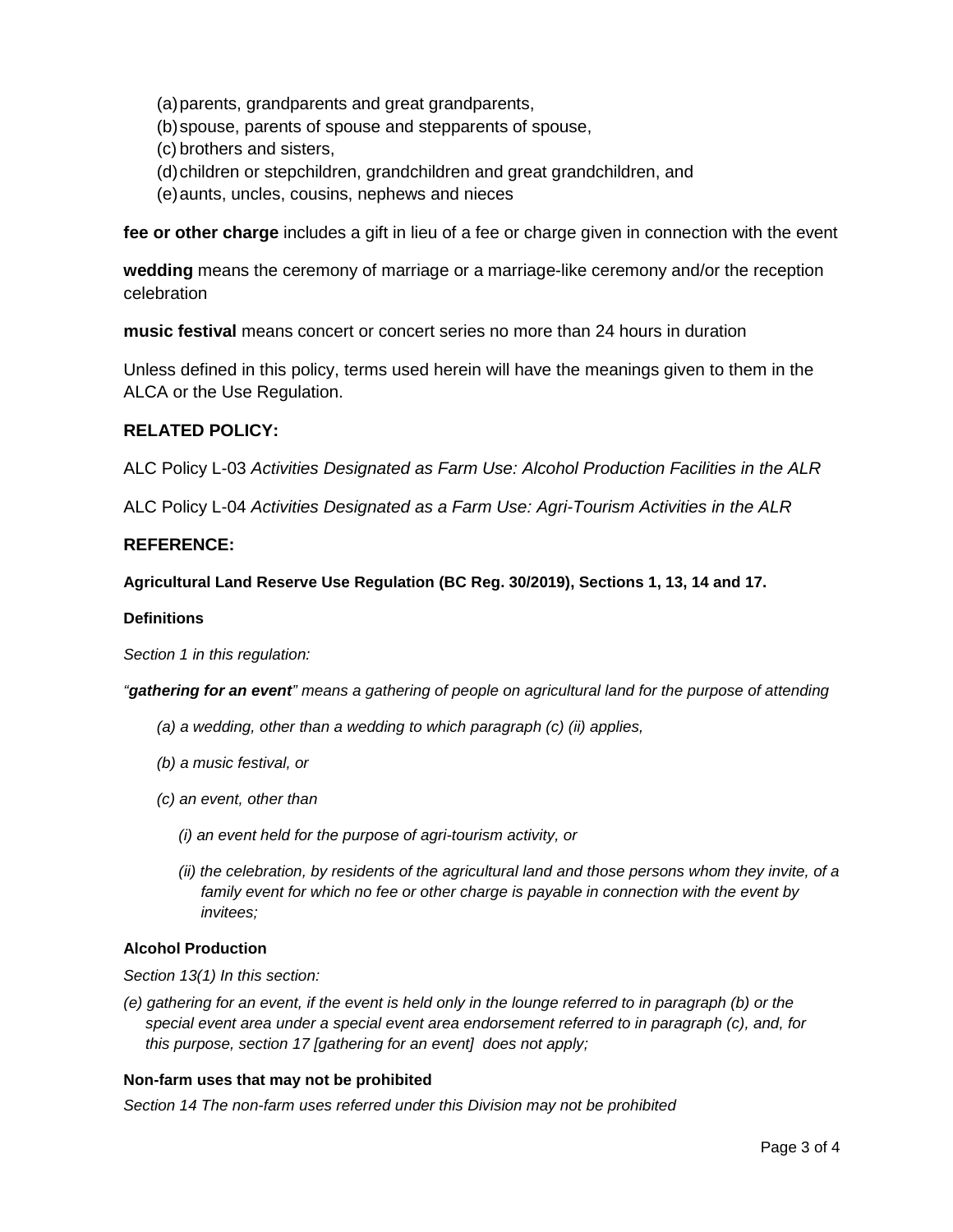- (a)parents, grandparents and great grandparents,
- (b)spouse, parents of spouse and stepparents of spouse,
- (c) brothers and sisters,
- (d)children or stepchildren, grandchildren and great grandchildren, and
- (e)aunts, uncles, cousins, nephews and nieces

**fee or other charge** includes a gift in lieu of a fee or charge given in connection with the event

**wedding** means the ceremony of marriage or a marriage-like ceremony and/or the reception celebration

**music festival** means concert or concert series no more than 24 hours in duration

Unless defined in this policy, terms used herein will have the meanings given to them in the ALCA or the Use Regulation.

## **RELATED POLICY:**

ALC Policy L-03 *Activities Designated as Farm Use: Alcohol Production Facilities in the ALR*

ALC Policy L-04 *Activities Designated as a Farm Use: Agri-Tourism Activities in the ALR*

## **REFERENCE:**

**Agricultural Land Reserve Use Regulation (BC Reg. 30/2019), Sections 1, 13, 14 and 17.**

#### **Definitions**

*Section 1 in this regulation:*

*"gathering for an event" means a gathering of people on agricultural land for the purpose of attending*

- *(a) a wedding, other than a wedding to which paragraph (c) (ii) applies,*
- *(b) a music festival, or*
- *(c) an event, other than*
	- *(i) an event held for the purpose of agri-tourism activity, or*
	- *(ii) the celebration, by residents of the agricultural land and those persons whom they invite, of a*  family event for which no fee or other charge is payable in connection with the event by *invitees;*

#### **Alcohol Production**

*Section 13(1) In this section:*

*(e) gathering for an event, if the event is held only in the lounge referred to in paragraph (b) or the special event area under a special event area endorsement referred to in paragraph (c), and, for this purpose, section 17 [gathering for an event] does not apply;*

#### **Non-farm uses that may not be prohibited**

*Section 14 The non-farm uses referred under this Division may not be prohibited*